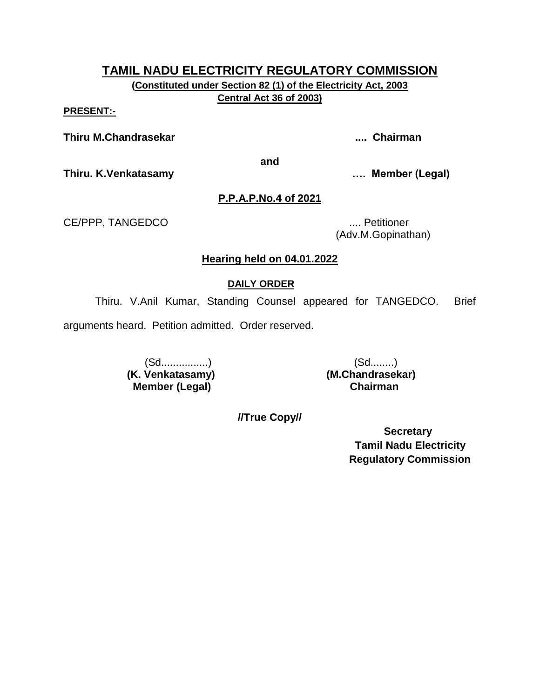**(Constituted under Section 82 (1) of the Electricity Act, 2003 Central Act 36 of 2003)**

**PRESENT:-**

**Thiru M.Chandrasekar .... Chairman**

**and**

**Thiru. K.Venkatasamy …. Member (Legal)**

## **P.P.A.P.No.4 of 2021**

CE/PPP, TANGEDCO .... Petitioner

(Adv.M.Gopinathan)

#### **Hearing held on 04.01.2022**

### **DAILY ORDER**

Thiru. V.Anil Kumar, Standing Counsel appeared for TANGEDCO. Brief

arguments heard. Petition admitted. Order reserved.

**(K. Venkatasamy) (M.Chandrasekar) Member (Legal) Chairman**

(Sd................) (Sd........)

**//True Copy//**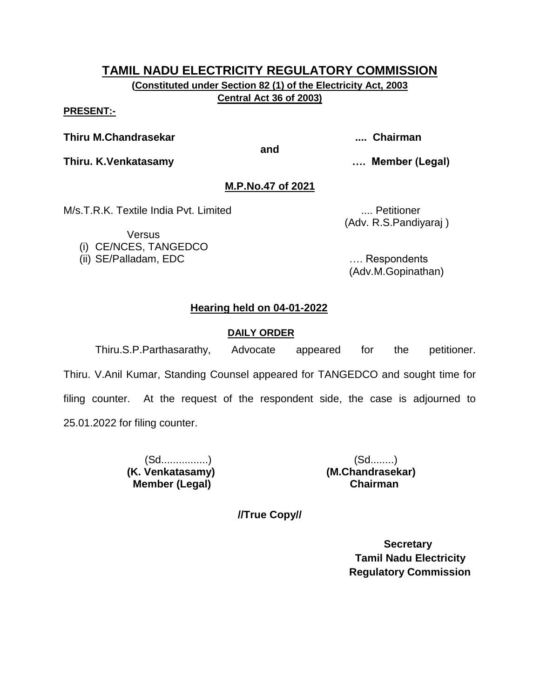**(Constituted under Section 82 (1) of the Electricity Act, 2003 Central Act 36 of 2003)**

#### **PRESENT:-**

**Thiru M.Chandrasekar .... Chairman**

**and**

**Thiru. K.Venkatasamy …. Member (Legal)**

## **M.P.No.47 of 2021**

M/s.T.R.K. Textile India Pvt. Limited .... Petitioner

(Adv. R.S.Pandiyaraj )

**Versus** 

- (i) CE/NCES, TANGEDCO
- (ii) SE/Palladam, EDC 2000 and 2000 minutes with the subset of the second second in the second second second in the second second second second second second second second second second second second second second second s

(Adv.M.Gopinathan)

## **Hearing held on 04-01-2022**

## **DAILY ORDER**

Thiru.S.P.Parthasarathy, Advocate appeared for the petitioner. Thiru. V.Anil Kumar, Standing Counsel appeared for TANGEDCO and sought time for filing counter. At the request of the respondent side, the case is adjourned to 25.01.2022 for filing counter.

> (Sd................) (Sd........) **(K. Venkatasamy) (M.Chandrasekar) Member (Legal) Chairman**

**//True Copy//**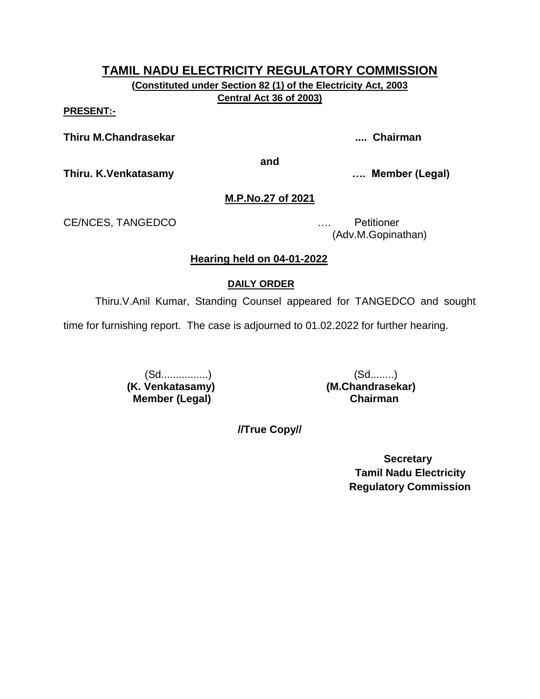**(Constituted under Section 82 (1) of the Electricity Act, 2003 Central Act 36 of 2003)**

**PRESENT:-**

**Thiru M.Chandrasekar .... Chairman**

**and**

**Thiru. K.Venkatasamy …. Member (Legal)**

**M.P.No.27 of 2021**

CE/NCES, TANGEDCO …. Petitioner

(Adv.M.Gopinathan)

## **Hearing held on 04-01-2022**

## **DAILY ORDER**

Thiru.V.Anil Kumar, Standing Counsel appeared for TANGEDCO and sought

time for furnishing report. The case is adjourned to 01.02.2022 for further hearing.

(Sd..............) (Sd...............)<br>(K. Venkatasamy) (M.Chandrasek **Member (Legal)** 

**(M. Chandrasekar)**<br>Chairman

**//True Copy//**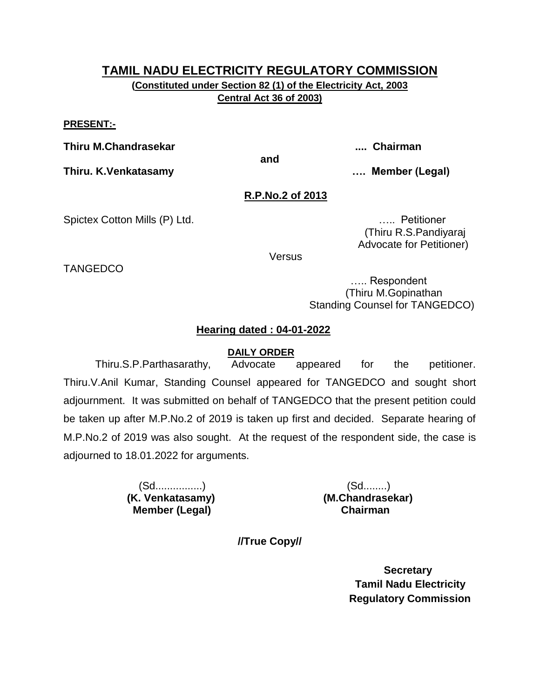**(Constituted under Section 82 (1) of the Electricity Act, 2003 Central Act 36 of 2003)**

#### **PRESENT:-**

**Thiru M.Chandrasekar .... Chairman**

**and**

**Thiru. K.Venkatasamy …. Member (Legal)**

**R.P.No.2 of 2013**

Spictex Cotton Mills (P) Ltd. **Example 20 and Contact Control** contact Petitioner

 (Thiru R.S.Pandiyaraj Advocate for Petitioner)

**Versus** 

TANGEDCO

 ….. Respondent (Thiru M.Gopinathan Standing Counsel for TANGEDCO)

## **Hearing dated : 04-01-2022**

## **DAILY ORDER**

Thiru.S.P.Parthasarathy, Advocate appeared for the petitioner. Thiru.V.Anil Kumar, Standing Counsel appeared for TANGEDCO and sought short adjournment. It was submitted on behalf of TANGEDCO that the present petition could be taken up after M.P.No.2 of 2019 is taken up first and decided. Separate hearing of M.P.No.2 of 2019 was also sought. At the request of the respondent side, the case is adjourned to 18.01.2022 for arguments.

> (Sd................) (Sd........) **Member (Legal) Chairman**

**(K. Venkatasamy) (M.Chandrasekar)**

**//True Copy//**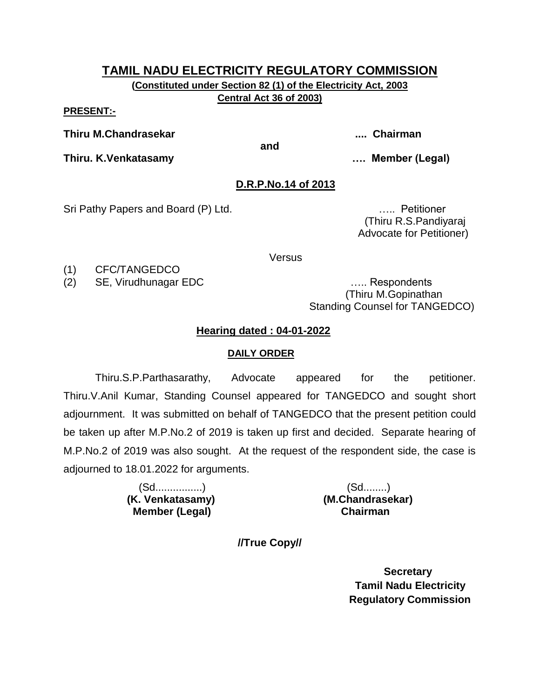**(Constituted under Section 82 (1) of the Electricity Act, 2003 Central Act 36 of 2003)**

**PRESENT:-**

**Thiru M.Chandrasekar .... Chairman**

**and**

**Thiru. K.Venkatasamy …. Member (Legal)**

## **D.R.P.No.14 of 2013**

Sri Pathy Papers and Board (P) Ltd. ….. Petitioner

 (Thiru R.S.Pandiyaraj Advocate for Petitioner)

Versus

(1) CFC/TANGEDCO

(2) SE, Virudhunagar EDC ….. Respondents

 (Thiru M.Gopinathan Standing Counsel for TANGEDCO)

## **Hearing dated : 04-01-2022**

## **DAILY ORDER**

Thiru.S.P.Parthasarathy, Advocate appeared for the petitioner. Thiru.V.Anil Kumar, Standing Counsel appeared for TANGEDCO and sought short adjournment. It was submitted on behalf of TANGEDCO that the present petition could be taken up after M.P.No.2 of 2019 is taken up first and decided. Separate hearing of M.P.No.2 of 2019 was also sought. At the request of the respondent side, the case is adjourned to 18.01.2022 for arguments.

> (Sd................) (Sd........)  **Member (Legal) Chairman**

**(K. Venkatasamy) (M.Chandrasekar)**

**//True Copy//**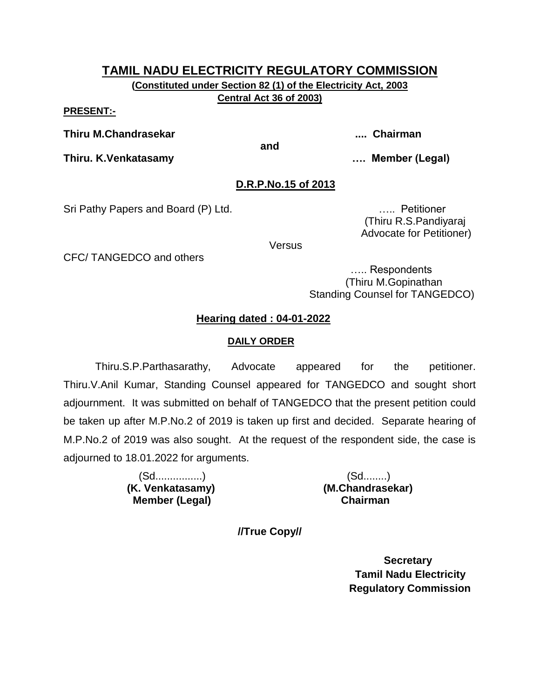**(Constituted under Section 82 (1) of the Electricity Act, 2003 Central Act 36 of 2003)**

**PRESENT:-**

**Thiru M.Chandrasekar .... Chairman**

**and**

**Thiru. K.Venkatasamy …. Member (Legal)**

## **D.R.P.No.15 of 2013**

Sri Pathy Papers and Board (P) Ltd. **Example 20 and Strips and Pathy Papers and Board (P)** Ltd. **Example 20 and 20 and 20 and 20 and 20 and 20 and 20 and 20 and 20 and 20 and 20 and 20 and 20 and 20 and 20 and 20 and 20 an** 

 (Thiru R.S.Pandiyaraj Advocate for Petitioner)

**Versus** 

CFC/ TANGEDCO and others

 ….. Respondents (Thiru M.Gopinathan Standing Counsel for TANGEDCO)

## **Hearing dated : 04-01-2022**

### **DAILY ORDER**

Thiru.S.P.Parthasarathy, Advocate appeared for the petitioner. Thiru.V.Anil Kumar, Standing Counsel appeared for TANGEDCO and sought short adjournment. It was submitted on behalf of TANGEDCO that the present petition could be taken up after M.P.No.2 of 2019 is taken up first and decided. Separate hearing of M.P.No.2 of 2019 was also sought. At the request of the respondent side, the case is adjourned to 18.01.2022 for arguments.

> (Sd................) (Sd........)  **Member (Legal) Chairman**

**(K. Venkatasamy) (M.Chandrasekar)**

**//True Copy//**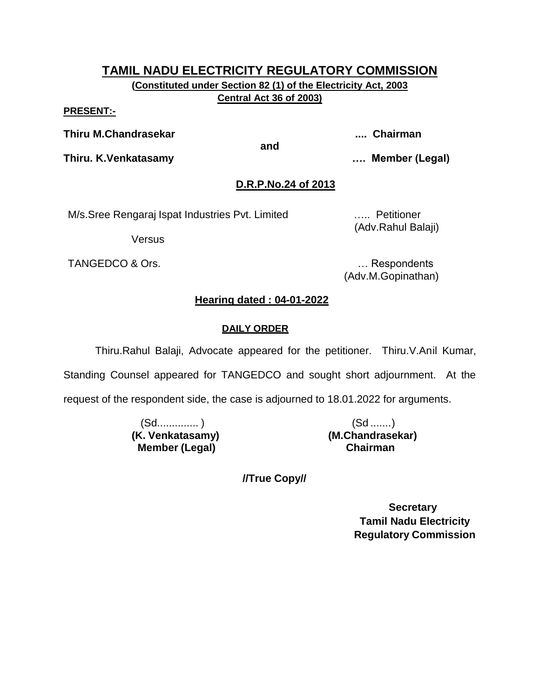**(Constituted under Section 82 (1) of the Electricity Act, 2003 Central Act 36 of 2003)**

**PRESENT:-**

**Thiru M.Chandrasekar .... Chairman**

**and**

**Thiru. K.Venkatasamy …. Member (Legal)**

# **D.R.P.No.24 of 2013**

M/s.Sree Rengaraj Ispat Industries Pvt. Limited ….. Petitioner

Versus

TANGEDCO & Ors. **Example 20** in the contract of the contract of the contract of the contract of the contract of the contract of the contract of the contract of the contract of the contract of the contract of the contract o

(Adv.Rahul Balaji)

(Adv.M.Gopinathan)

## **Hearing dated : 04-01-2022**

## **DAILY ORDER**

Thiru.Rahul Balaji, Advocate appeared for the petitioner. Thiru.V.Anil Kumar,

Standing Counsel appeared for TANGEDCO and sought short adjournment. At the

request of the respondent side, the case is adjourned to 18.01.2022 for arguments.

(Sd.............. ) (Sd .......) **(K. Venkatasamy) Member (Legal)**

**(M.Chandrasekar) Chairman**

**//True Copy//**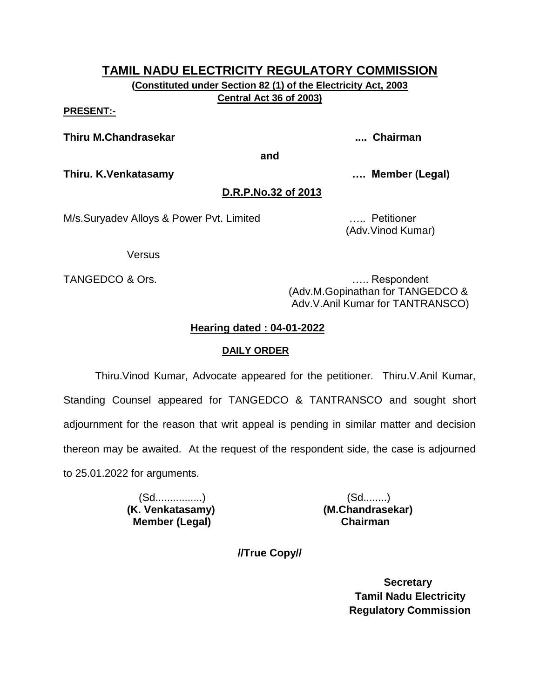**(Constituted under Section 82 (1) of the Electricity Act, 2003 Central Act 36 of 2003)**

#### **PRESENT:-**

**Thiru M.Chandrasekar .... Chairman**

**and**

**Thiru. K.Venkatasamy …. Member (Legal)**

### **D.R.P.No.32 of 2013**

M/s.Suryadev Alloys & Power Pvt. Limited ….. Petitioner

(Adv.Vinod Kumar)

Versus

TANGEDCO & Ors. **Example 20** and the contract of the contract of the contract of the contract of the contract of the contract of the contract of the contract of the contract of the contract of the contract of the contract (Adv.M.Gopinathan for TANGEDCO & Adv.V.Anil Kumar for TANTRANSCO)

### **Hearing dated : 04-01-2022**

#### **DAILY ORDER**

Thiru.Vinod Kumar, Advocate appeared for the petitioner. Thiru.V.Anil Kumar, Standing Counsel appeared for TANGEDCO & TANTRANSCO and sought short adjournment for the reason that writ appeal is pending in similar matter and decision thereon may be awaited. At the request of the respondent side, the case is adjourned to 25.01.2022 for arguments.

> (Sd................) (Sd........)  **Member (Legal) Chairman**

**(K. Venkatasamy) (M.Chandrasekar)**

**//True Copy//**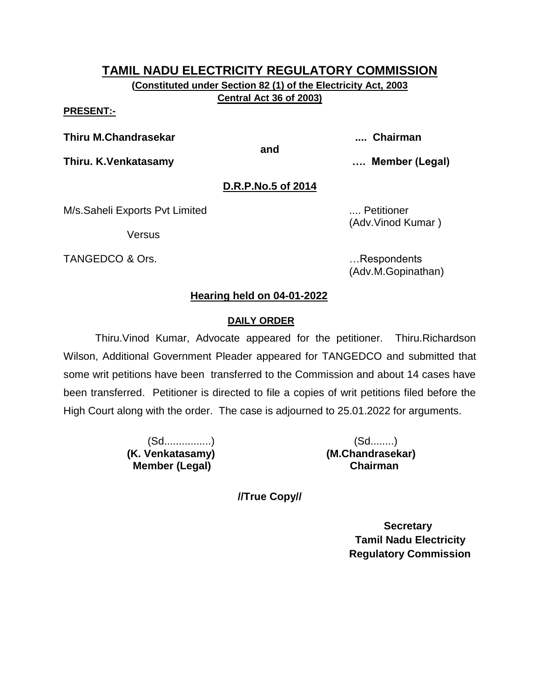**(Constituted under Section 82 (1) of the Electricity Act, 2003 Central Act 36 of 2003)**

#### **PRESENT:-**

**Thiru M.Chandrasekar .... Chairman**

**and**

**Thiru. K.Venkatasamy …. Member (Legal)**

## **D.R.P.No.5 of 2014**

M/s.Saheli Exports Pvt Limited .... Petitioner

Versus

TANGEDCO & Ors. **Example 20** and the contract of the contract of the contract of the contract of the contract of the contract of the contract of the contract of the contract of the contract of the contract of the contract

(Adv.Vinod Kumar )

(Adv.M.Gopinathan)

## **Hearing held on 04-01-2022**

## **DAILY ORDER**

Thiru.Vinod Kumar, Advocate appeared for the petitioner. Thiru.Richardson Wilson, Additional Government Pleader appeared for TANGEDCO and submitted that some writ petitions have been transferred to the Commission and about 14 cases have been transferred. Petitioner is directed to file a copies of writ petitions filed before the High Court along with the order. The case is adjourned to 25.01.2022 for arguments.

> **(K. Venkatasamy) (M.Chandrasekar) Member (Legal) Chairman**

(Sd................) (Sd........)

**//True Copy//**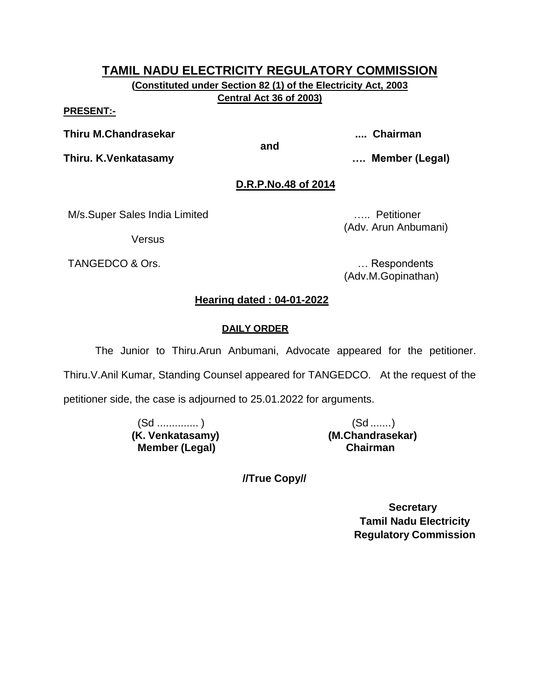**(Constituted under Section 82 (1) of the Electricity Act, 2003 Central Act 36 of 2003)**

#### **PRESENT:-**

**Thiru M.Chandrasekar .... Chairman**

**Thiru. K.Venkatasamy …. Member (Legal)**

**and**

## **D.R.P.No.48 of 2014**

M/s.Super Sales India Limited ….. Petitioner

Versus

TANGEDCO & Ors. **Example 20** in the contract of the contract of the contract of the contract of the contract of the contract of the contract of the contract of the contract of the contract of the contract of the contract o

(Adv. Arun Anbumani)

(Adv.M.Gopinathan)

## **Hearing dated : 04-01-2022**

### **DAILY ORDER**

The Junior to Thiru.Arun Anbumani, Advocate appeared for the petitioner. Thiru.V.Anil Kumar, Standing Counsel appeared for TANGEDCO. At the request of the

petitioner side, the case is adjourned to 25.01.2022 for arguments.

(Sd .............. ) (Sd .......) **(K. Venkatasamy) Member (Legal)**

**(M.Chandrasekar) Chairman**

**//True Copy//**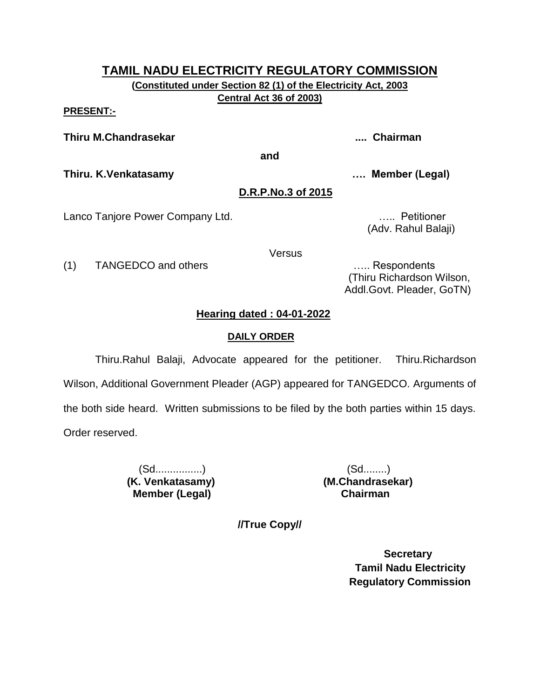**(Constituted under Section 82 (1) of the Electricity Act, 2003 Central Act 36 of 2003)**

**PRESENT:-**

**Thiru M.Chandrasekar .... Chairman**

**and**

**Thiru. K.Venkatasamy …. Member (Legal)**

**D.R.P.No.3 of 2015**

Lanco Tanjore Power Company Ltd. **Example 20 and Constanting Control** control control control control control con

(Adv. Rahul Balaji)

Versus

(1) TANGEDCO and others ….. Respondents

 (Thiru Richardson Wilson, Addl.Govt. Pleader, GoTN)

## **Hearing dated : 04-01-2022**

### **DAILY ORDER**

Thiru.Rahul Balaji, Advocate appeared for the petitioner. Thiru.Richardson Wilson, Additional Government Pleader (AGP) appeared for TANGEDCO. Arguments of the both side heard. Written submissions to be filed by the both parties within 15 days. Order reserved.

> (Sd................) (Sd........)  **Member (Legal) Chairman**

**(K. Venkatasamy) (M.Chandrasekar)**

**//True Copy//**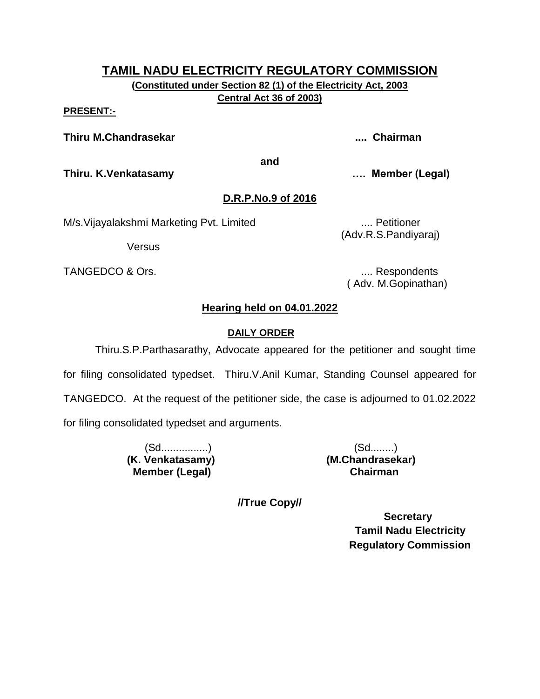**(Constituted under Section 82 (1) of the Electricity Act, 2003 Central Act 36 of 2003)**

#### **PRESENT:-**

**Thiru M.Chandrasekar .... Chairman**

**and**

**Thiru. K.Venkatasamy …. Member (Legal)**

## **D.R.P.No.9 of 2016**

M/s. Vijayalakshmi Marketing Pvt. Limited .... Petitioner

Versus

TANGEDCO & Ors. .... Respondents

(Adv.R.S.Pandiyaraj)

( Adv. M.Gopinathan)

## **Hearing held on 04.01.2022**

### **DAILY ORDER**

Thiru.S.P.Parthasarathy, Advocate appeared for the petitioner and sought time for filing consolidated typedset. Thiru.V.Anil Kumar, Standing Counsel appeared for TANGEDCO. At the request of the petitioner side, the case is adjourned to 01.02.2022 for filing consolidated typedset and arguments.

> (Sd................) (Sd........) **(K. Venkatasamy) (M.Chandrasekar) Member (Legal) Chairman**

**//True Copy//**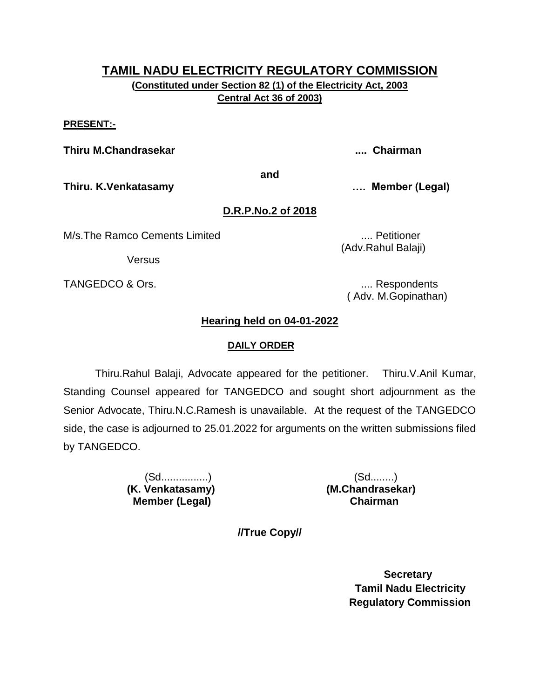**(Constituted under Section 82 (1) of the Electricity Act, 2003 Central Act 36 of 2003)**

#### **PRESENT:-**

**Thiru M.Chandrasekar .... Chairman**

**and**

**Thiru. K.Venkatasamy …. Member (Legal)**

# **D.R.P.No.2 of 2018**

M/s.The Ramco Cements Limited .... Petitioner

**Versus** 

TANGEDCO & Ors. .... Respondents ( Adv. M.Gopinathan)

(Adv.Rahul Balaji)

# **Hearing held on 04-01-2022**

### **DAILY ORDER**

Thiru.Rahul Balaji, Advocate appeared for the petitioner. Thiru.V.Anil Kumar, Standing Counsel appeared for TANGEDCO and sought short adjournment as the Senior Advocate, Thiru.N.C.Ramesh is unavailable. At the request of the TANGEDCO side, the case is adjourned to 25.01.2022 for arguments on the written submissions filed by TANGEDCO.

> (Sd................) (Sd........) **(K. Venkatasamy) (M.Chandrasekar) Member (Legal) Chairman**

**//True Copy//**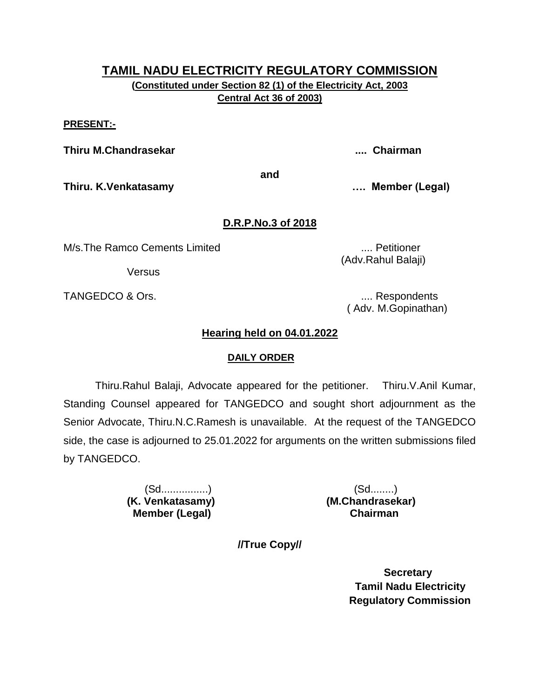**(Constituted under Section 82 (1) of the Electricity Act, 2003 Central Act 36 of 2003)**

#### **PRESENT:-**

**Thiru M.Chandrasekar .... Chairman**

**and**

**Thiru. K.Venkatasamy …. Member (Legal)**

### **D.R.P.No.3 of 2018**

M/s.The Ramco Cements Limited **..... According to the Contract Contract Contract Contract Contract Contract Contract Contract Contract Contract Contract Contract Contract Contract Contract Contract Contract Contract Contra** 

Versus

TANGEDCO & Ors. .... Respondents ( Adv. M.Gopinathan)

(Adv.Rahul Balaji)

### **Hearing held on 04.01.2022**

#### **DAILY ORDER**

Thiru.Rahul Balaji, Advocate appeared for the petitioner. Thiru.V.Anil Kumar, Standing Counsel appeared for TANGEDCO and sought short adjournment as the Senior Advocate, Thiru.N.C.Ramesh is unavailable. At the request of the TANGEDCO side, the case is adjourned to 25.01.2022 for arguments on the written submissions filed by TANGEDCO.

 **Member (Legal) Chairman**

 (Sd................) (Sd........) **(K. Venkatasamy) (M.Chandrasekar)**

**//True Copy//**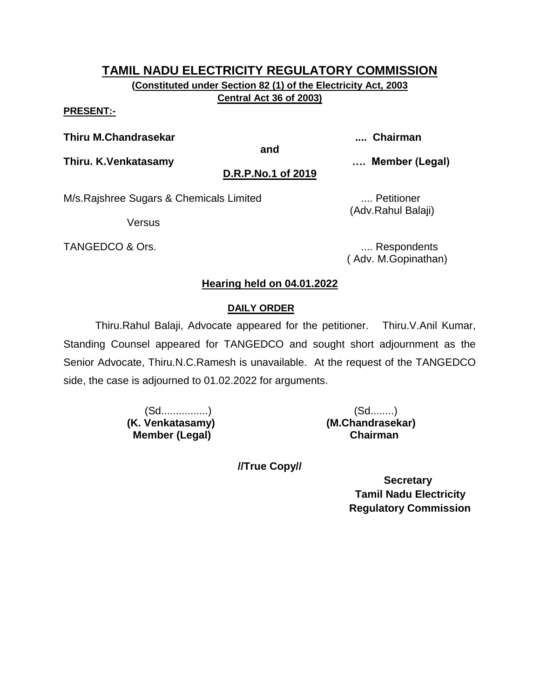**(Constituted under Section 82 (1) of the Electricity Act, 2003 Central Act 36 of 2003)**

#### **PRESENT:-**

**Thiru M.Chandrasekar .... Chairman**

**and**

**Thiru. K.Venkatasamy …. Member (Legal)**

**D.R.P.No.1 of 2019**

M/s.Rajshree Sugars & Chemicals Limited .... Petitioner

Versus

(Adv.Rahul Balaji)

TANGEDCO & Ors. .... Respondents ( Adv. M.Gopinathan)

# **Hearing held on 04.01.2022**

## **DAILY ORDER**

Thiru.Rahul Balaji, Advocate appeared for the petitioner. Thiru.V.Anil Kumar, Standing Counsel appeared for TANGEDCO and sought short adjournment as the Senior Advocate, Thiru.N.C.Ramesh is unavailable. At the request of the TANGEDCO side, the case is adjourned to 01.02.2022 for arguments.

> **(K. Venkatasamy) (M.Chandrasekar) Member (Legal) Chairman**

(Sd................) (Sd........)

**//True Copy//**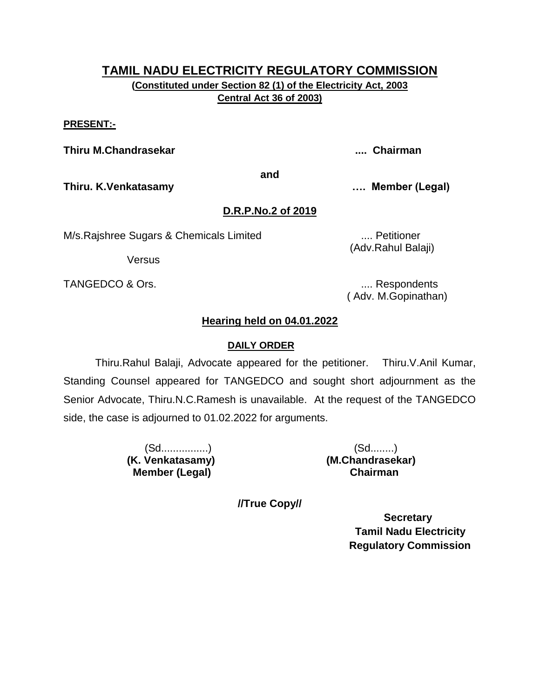**(Constituted under Section 82 (1) of the Electricity Act, 2003 Central Act 36 of 2003)**

#### **PRESENT:-**

**Thiru M.Chandrasekar .... Chairman**

**and**

**Thiru. K.Venkatasamy …. Member (Legal)**

# **D.R.P.No.2 of 2019**

M/s.Rajshree Sugars & Chemicals Limited .... Petitioner

Versus

TANGEDCO & Ors. .... Respondents

(Adv.Rahul Balaji)

( Adv. M.Gopinathan)

# **Hearing held on 04.01.2022**

## **DAILY ORDER**

Thiru.Rahul Balaji, Advocate appeared for the petitioner. Thiru.V.Anil Kumar, Standing Counsel appeared for TANGEDCO and sought short adjournment as the Senior Advocate, Thiru.N.C.Ramesh is unavailable. At the request of the TANGEDCO side, the case is adjourned to 01.02.2022 for arguments.

> (Sd................) (Sd........) **(K. Venkatasamy) (M.Chandrasekar) Member (Legal) Chairman**

**//True Copy//**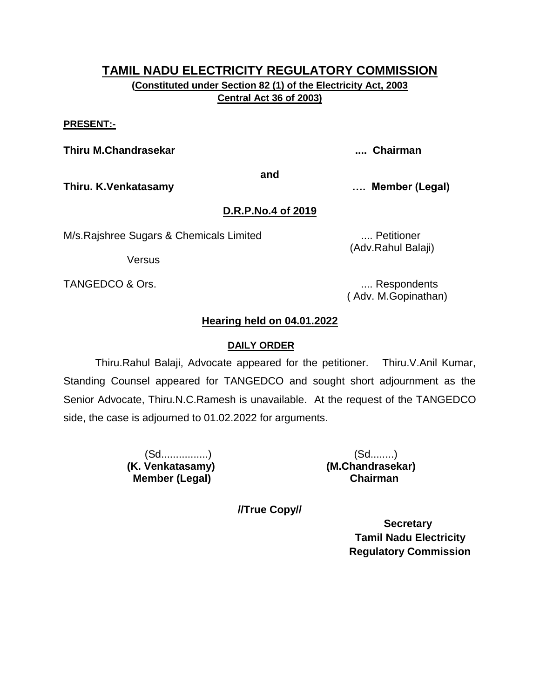**(Constituted under Section 82 (1) of the Electricity Act, 2003 Central Act 36 of 2003)**

#### **PRESENT:-**

**Thiru M.Chandrasekar .... Chairman**

**and**

**Thiru. K.Venkatasamy …. Member (Legal)**

# **D.R.P.No.4 of 2019**

M/s.Rajshree Sugars & Chemicals Limited .... Petitioner

Versus

TANGEDCO & Ors. .... Respondents

(Adv.Rahul Balaji)

( Adv. M.Gopinathan)

# **Hearing held on 04.01.2022**

## **DAILY ORDER**

Thiru.Rahul Balaji, Advocate appeared for the petitioner. Thiru.V.Anil Kumar, Standing Counsel appeared for TANGEDCO and sought short adjournment as the Senior Advocate, Thiru.N.C.Ramesh is unavailable. At the request of the TANGEDCO side, the case is adjourned to 01.02.2022 for arguments.

 **Member (Legal) Chairman**

 (Sd................) (Sd........) **(K. Venkatasamy) (M.Chandrasekar)**

**//True Copy//**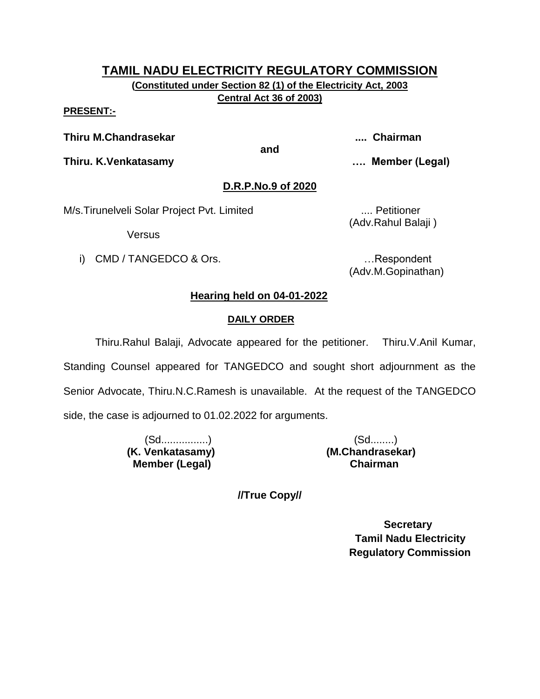**(Constituted under Section 82 (1) of the Electricity Act, 2003 Central Act 36 of 2003)**

#### **PRESENT:-**

**Thiru M.Chandrasekar .... Chairman**

**and**

**Thiru. K.Venkatasamy …. Member (Legal)**

### **D.R.P.No.9 of 2020**

M/s. Tirunelveli Solar Project Pvt. Limited .... Petitioner

Versus

i) CMD / TANGEDCO & Ors. **Example 20** in the second control of the second control of the second control of the second control of the second control of the second control of the second control of the second control of the s

(Adv.M.Gopinathan)

(Adv.Rahul Balaji )

## **Hearing held on 04-01-2022**

### **DAILY ORDER**

Thiru.Rahul Balaji, Advocate appeared for the petitioner. Thiru.V.Anil Kumar, Standing Counsel appeared for TANGEDCO and sought short adjournment as the Senior Advocate, Thiru.N.C.Ramesh is unavailable. At the request of the TANGEDCO side, the case is adjourned to 01.02.2022 for arguments.

> **(K. Venkatasamy) (M.Chandrasekar) Member (Legal) Chairman**

(Sd................) (Sd........)

**//True Copy//**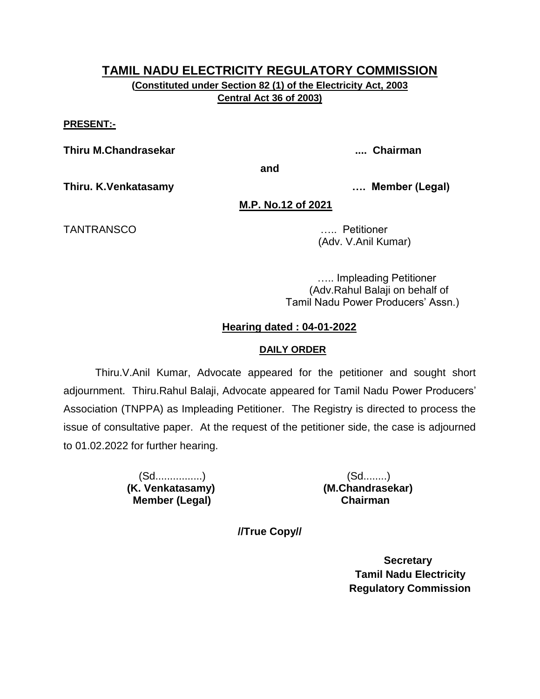**(Constituted under Section 82 (1) of the Electricity Act, 2003 Central Act 36 of 2003)**

#### **PRESENT:-**

**Thiru M.Chandrasekar .... Chairman**

**and**

**Thiru. K.Venkatasamy …. Member (Legal)**

**M.P. No.12 of 2021**

TANTRANSCO ….. Petitioner

(Adv. V.Anil Kumar)

….. Impleading Petitioner (Adv.Rahul Balaji on behalf of Tamil Nadu Power Producers' Assn.)

### **Hearing dated : 04-01-2022**

#### **DAILY ORDER**

Thiru.V.Anil Kumar, Advocate appeared for the petitioner and sought short adjournment. Thiru.Rahul Balaji, Advocate appeared for Tamil Nadu Power Producers' Association (TNPPA) as Impleading Petitioner. The Registry is directed to process the issue of consultative paper. At the request of the petitioner side, the case is adjourned to 01.02.2022 for further hearing.

> (Sd................) (Sd........)  **Member (Legal) Chairman**

**(K. Venkatasamy) (M.Chandrasekar)**

**//True Copy//**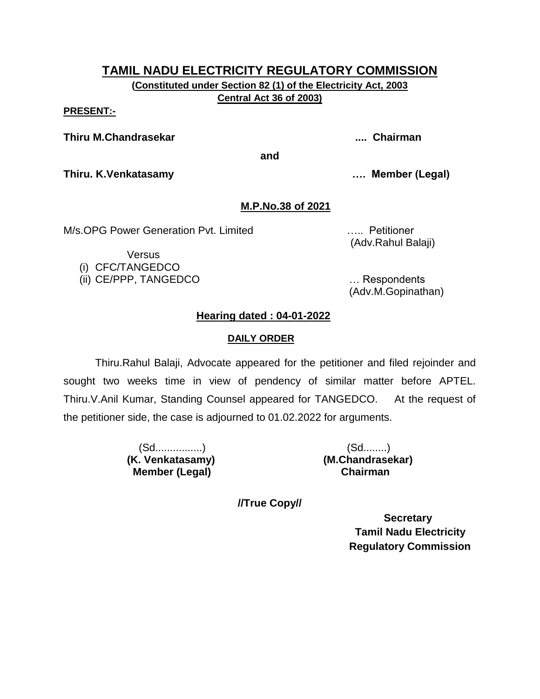**(Constituted under Section 82 (1) of the Electricity Act, 2003 Central Act 36 of 2003)**

#### **PRESENT:-**

**Thiru M.Chandrasekar .... Chairman**

**and**

**Thiru. K.Venkatasamy …. Member (Legal)**

### **M.P.No.38 of 2021**

M/s.OPG Power Generation Pvt. Limited ….. Petitioner

(Adv.Rahul Balaji)

(i) CFC/TANGEDCO

(ii) CE/PPP, TANGEDCO … Respondents

Versus

(Adv.M.Gopinathan)

## **Hearing dated : 04-01-2022**

#### **DAILY ORDER**

Thiru.Rahul Balaji, Advocate appeared for the petitioner and filed rejoinder and sought two weeks time in view of pendency of similar matter before APTEL. Thiru.V.Anil Kumar, Standing Counsel appeared for TANGEDCO. At the request of the petitioner side, the case is adjourned to 01.02.2022 for arguments.

> (Sd................) (Sd........) **(K. Venkatasamy) (M.Chandrasekar) Member (Legal) Chairman**

**//True Copy//**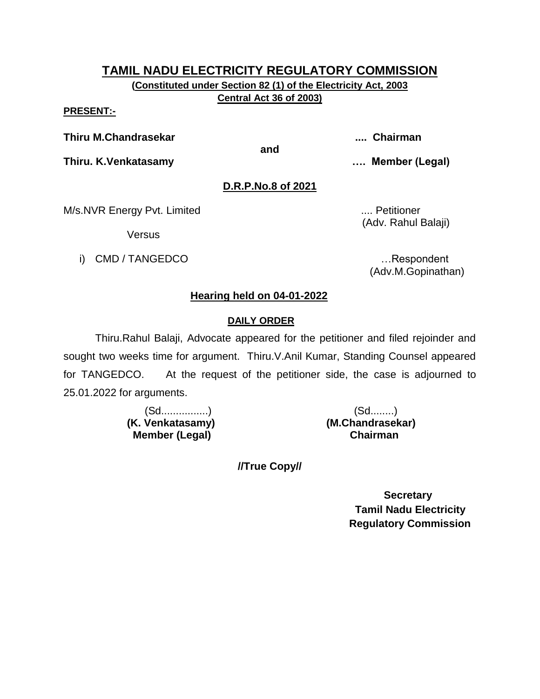**(Constituted under Section 82 (1) of the Electricity Act, 2003 Central Act 36 of 2003)**

#### **PRESENT:-**

**Thiru M.Chandrasekar .... Chairman**

**and**

**Thiru. K.Venkatasamy …. Member (Legal)**

### **D.R.P.No.8 of 2021**

M/s.NVR Energy Pvt. Limited ..... **M/s.NVR** Energy Pvt. Limited

**Versus** 

i) CMD / TANGEDCO **in the set of the set of the set of the set of the set of the set of the set of the set of the set of the set of the set of the set of the set of the set of the set of the set of the set of the set of th** 

(Adv. Rahul Balaji)

(Adv.M.Gopinathan)

## **Hearing held on 04-01-2022**

## **DAILY ORDER**

Thiru.Rahul Balaji, Advocate appeared for the petitioner and filed rejoinder and sought two weeks time for argument. Thiru.V.Anil Kumar, Standing Counsel appeared for TANGEDCO. At the request of the petitioner side, the case is adjourned to 25.01.2022 for arguments.

 **Member (Legal) Chairman**

 (Sd................) (Sd........) **(K. Venkatasamy) (M.Chandrasekar)**

**//True Copy//**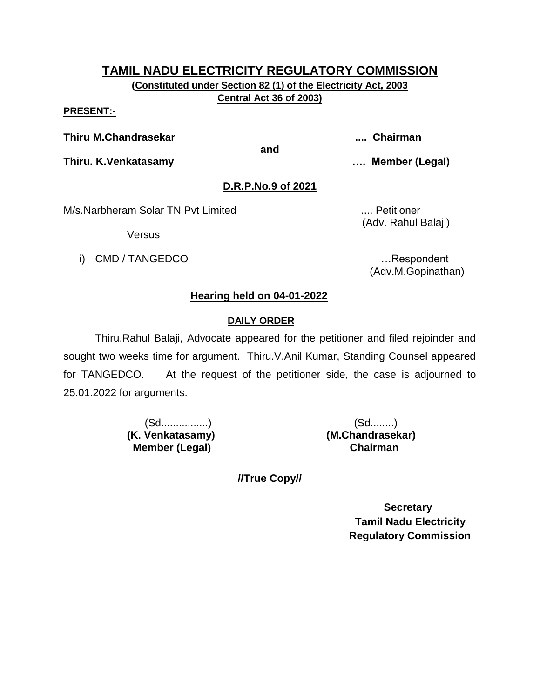**(Constituted under Section 82 (1) of the Electricity Act, 2003 Central Act 36 of 2003)**

#### **PRESENT:-**

**Thiru M.Chandrasekar .... Chairman**

**and**

**Thiru. K.Venkatasamy …. Member (Legal)**

## **D.R.P.No.9 of 2021**

M/s.Narbheram Solar TN Pvt Limited ..... Petitioner

Versus

i) CMD / TANGEDCO **in the set of the set of the set of the set of the set of the set of the set of the set of the set of the set of the set of the set of the set of the set of the set of the set of the set of the set of th** 

(Adv. Rahul Balaji)

(Adv.M.Gopinathan)

## **Hearing held on 04-01-2022**

## **DAILY ORDER**

Thiru.Rahul Balaji, Advocate appeared for the petitioner and filed rejoinder and sought two weeks time for argument. Thiru.V.Anil Kumar, Standing Counsel appeared for TANGEDCO. At the request of the petitioner side, the case is adjourned to 25.01.2022 for arguments.

> (Sd................) (Sd........) **(K. Venkatasamy) (M.Chandrasekar) Member (Legal) Chairman**

**//True Copy//**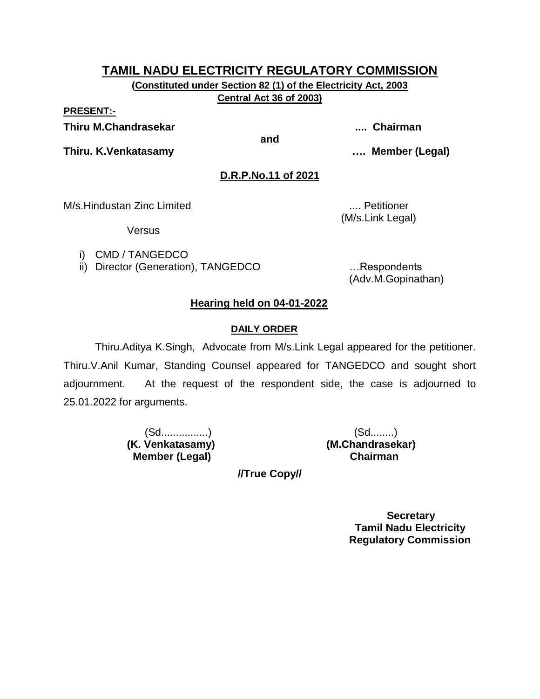**(Constituted under Section 82 (1) of the Electricity Act, 2003 Central Act 36 of 2003)**

**PRESENT:-**

**Thiru M.Chandrasekar .... Chairman**

**and**

(M/s.Link Legal)

**Thiru. K.Venkatasamy …. Member (Legal)**

**D.R.P.No.11 of 2021**

M/s.Hindustan Zinc Limited .... Petitioner

Versus

i) CMD / TANGEDCO

ii) Director (Generation), TANGEDCO ... Respondents

(Adv.M.Gopinathan)

# **Hearing held on 04-01-2022**

# **DAILY ORDER**

Thiru.Aditya K.Singh, Advocate from M/s.Link Legal appeared for the petitioner. Thiru.V.Anil Kumar, Standing Counsel appeared for TANGEDCO and sought short adjournment. At the request of the respondent side, the case is adjourned to 25.01.2022 for arguments.

 **Member (Legal) Chairman**

 (Sd................) (Sd........) **(K. Venkatasamy) (M.Chandrasekar)**

**//True Copy//**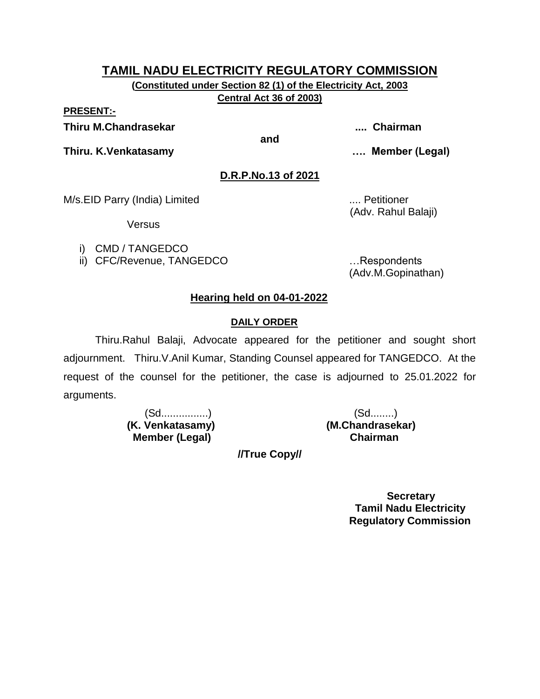**(Constituted under Section 82 (1) of the Electricity Act, 2003 Central Act 36 of 2003)**

**PRESENT:-**

**Thiru M.Chandrasekar .... Chairman**

**and**

**Thiru. K.Venkatasamy …. Member (Legal)**

**D.R.P.No.13 of 2021**

M/s.EID Parry (India) Limited .... Petitioner

Versus

- i) CMD / TANGEDCO
- ii) CFC/Revenue, TANGEDCO .... Respondents

(Adv.M.Gopinathan)

(Adv. Rahul Balaji)

# **Hearing held on 04-01-2022**

# **DAILY ORDER**

Thiru.Rahul Balaji, Advocate appeared for the petitioner and sought short adjournment. Thiru.V.Anil Kumar, Standing Counsel appeared for TANGEDCO. At the request of the counsel for the petitioner, the case is adjourned to 25.01.2022 for arguments.

 **Member (Legal) Chairman**

 (Sd................) (Sd........) **(K. Venkatasamy) (M.Chandrasekar)**

**//True Copy//**